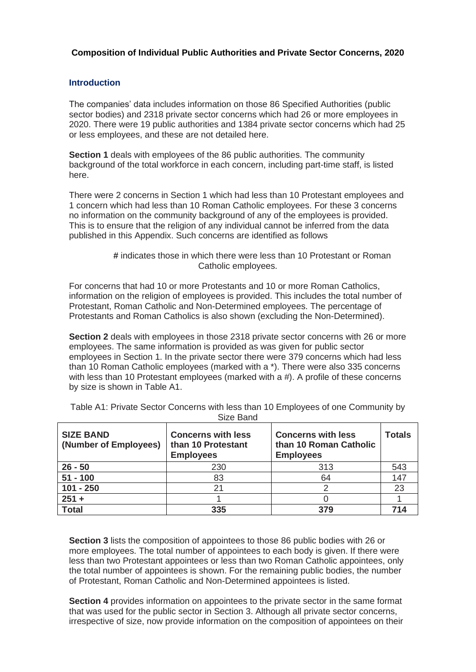## **Composition of Individual Public Authorities and Private Sector Concerns, 2020**

## **Introduction**

The companies' data includes information on those 86 Specified Authorities (public sector bodies) and 2318 private sector concerns which had 26 or more employees in 2020. There were 19 public authorities and 1384 private sector concerns which had 25 or less employees, and these are not detailed here.

**Section 1** deals with employees of the 86 public authorities. The community background of the total workforce in each concern, including part-time staff, is listed here.

There were 2 concerns in Section 1 which had less than 10 Protestant employees and 1 concern which had less than 10 Roman Catholic employees. For these 3 concerns no information on the community background of any of the employees is provided. This is to ensure that the religion of any individual cannot be inferred from the data published in this Appendix. Such concerns are identified as follows

For concerns that had 10 or more Protestants and 10 or more Roman Catholics, information on the religion of employees is provided. This includes the total number of Protestant, Roman Catholic and Non-Determined employees. The percentage of Protestants and Roman Catholics is also shown (excluding the Non-Determined).

**Section 2** deals with employees in those 2318 private sector concerns with 26 or more employees. The same information is provided as was given for public sector employees in Section 1. In the private sector there were 379 concerns which had less than 10 Roman Catholic employees (marked with a \*). There were also 335 concerns with less than 10 Protestant employees (marked with a #). A profile of these concerns by size is shown in Table A1.

| <b>SIZE BAND</b><br>(Number of Employees) | <b>Concerns with less</b><br>than 10 Protestant<br><b>Employees</b> | <b>Concerns with less</b><br>than 10 Roman Catholic<br><b>Employees</b> | <b>Totals</b> |
|-------------------------------------------|---------------------------------------------------------------------|-------------------------------------------------------------------------|---------------|
| $26 - 50$                                 | 230                                                                 | 313                                                                     | 543           |
| $51 - 100$                                | 83                                                                  | 64                                                                      | 147           |
| $101 - 250$                               | 21                                                                  |                                                                         | 23            |
| $251 +$                                   |                                                                     |                                                                         |               |
| <b>Total</b>                              | 335                                                                 | 379                                                                     | 714           |

Table A1: Private Sector Concerns with less than 10 Employees of one Community by Size Band

**Section 3** lists the composition of appointees to those 86 public bodies with 26 or more employees. The total number of appointees to each body is given. If there were less than two Protestant appointees or less than two Roman Catholic appointees, only the total number of appointees is shown. For the remaining public bodies, the number of Protestant, Roman Catholic and Non-Determined appointees is listed.

**Section 4** provides information on appointees to the private sector in the same format that was used for the public sector in Section 3. Although all private sector concerns, irrespective of size, now provide information on the composition of appointees on their

**<sup>#</sup>** indicates those in which there were less than 10 Protestant or Roman Catholic employees.